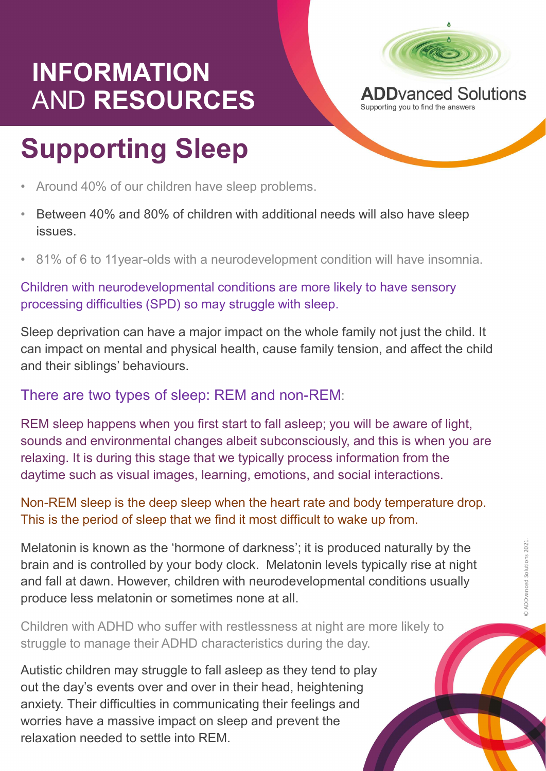### INFORMATION<br>AND RESOURCES APPYAREd Solutions AND RESOURCES ADDVanced So



- 
- issues.
- 

Children with neurodevelopmental conditions are more likely to have sensory processing difficulties (SPD) so may struggle with sleep.

Sleep deprivation can have a major impact on the whole family not just the child. It can impact on mental and physical health, cause family tension, and affect the child and their siblings' behaviours.

#### There are two types of sleep: REM and non-REM:

ealth, cause family tension, and affect the child<br>EM and non-REM:<br>tart to fall asleep; you will be aware of light,<br>albeit subconsciously, and this is when you are<br>e typically process information from the<br>hing, emotions, an REM sleep happens when you first start to fall asleep; you will be aware of light, sounds and environmental changes albeit subconsciously, and this is when you are relaxing. It is during this stage that we typically process information from the daytime such as visual images, learning, emotions, and social interactions.

Non-REM sleep is the deep sleep when the heart rate and body temperature drop. This is the period of sleep that we find it most difficult to wake up from.

Melatonin is known as the 'hormone of darkness'; it is produced naturally by the<br>brain and is controlled by your body clock. Melatonin levels typically rise at night<br>and fall at dawn. However, children with neurodevelopme brain and is controlled by your body clock. Melatonin levels typically rise at night and fall at dawn. However, children with neurodevelopmental conditions usually produce less melatonin or sometimes none at all. sounds and environmental changes albeit subconsciously, and this is when your elaxing. It is during this stage that we typically process information from the daytime such as visual images, learning, emotions, and social in

Children with ADHD who suffer with restlessness at night are more likely to struggle to manage their ADHD characteristics during the day.

out the day's events over and over in their head, heightening anxiety. Their difficulties in communicating their feelings and worries have a massive impact on sleep and prevent the relaxation needed to settle into REM.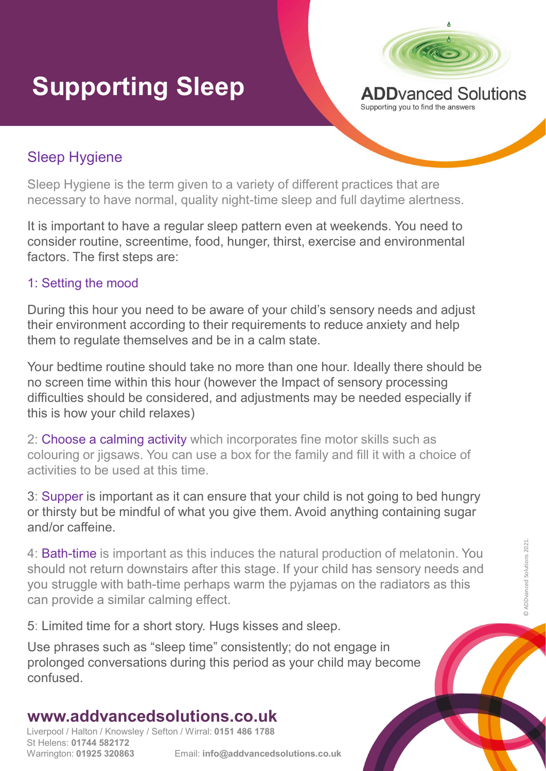# **Supporting Sleep ADD ADD Vanced Solutions**



#### Sleep Hygiene

Sleep Hygiene is the term given to a variety of different practices that are necessary to have normal, quality night-time sleep and full daytime alertness.

It is important to have a regular sleep pattern even at weekends. You need to consider routine, screentime, food, hunger, thirst, exercise and environmental factors. The first steps are:

#### 1: Setting the mood

During this hour you need to be aware of your child's sensory needs and adjust their environment according to their requirements to reduce anxiety and help them to regulate themselves and be in a calm state.

Your bedtime routine should take no more than one hour. Ideally there should be no screen time within this hour (however the Impact of sensory processing difficulties should be considered, and adjustments may be needed especially if this is how your child relaxes) It is important to have a regular sleep pattern even at weekends. You need to<br>consider routline, screentime, food, hunger, thirst, exercise and environmental<br>factors. The first steps are:<br>1: Setting the mood<br>During this ho 1: Setting the mood<br>2: Setting the mood<br>2: Setting the mood<br>their environment according to their requirements to reduce anxiety and help<br>them to regulate themselves and be in a calm state.<br>Your bedtime routine should take

2: Choose a calming activity which incorporates fine motor skills such as activities to be used at this time.

or thirsty but be mindful of what you give them. Avoid anything containing sugar and/or caffeine.

Final dark of sensory processing<br>
wever the Impact of sensory processing<br>
dadjustments may be needed especially if<br>
incorporates fine motor skills such as<br>
box for the family and fill it with a choice of<br>
urre that your ch 4: **Bath-time** is important as this induces the natural production of melatonin. You<br>should not return downstairs after this stage. If your child has sensory needs and<br>you struggle with bath-time perhaps warm the pyjamas should not return downstairs after this stage. If your child has sensory needs and Your bedtime routine should take no more than one hour. Ideally there should be<br>no screen time within this hour (however the Impact of sensory processing<br>difficulties should be considered, and adjustments may be needed esp can provide a similar calming effect.

5: Limited time for a short story. Hugs kisses and sleep.

Use phrases such as "sleep time" consistently; do not engage in prolonged conversations during this period as your child may become confused.

### www.addvancedsolutions.co.uk

Liverpool / Halton / Knowsley / Sefton / Wirral: 0151 486 1788 St Helens: 01744 582172 Warrington: 01925 320863 Email: info@addvancedsolutions.co.uk